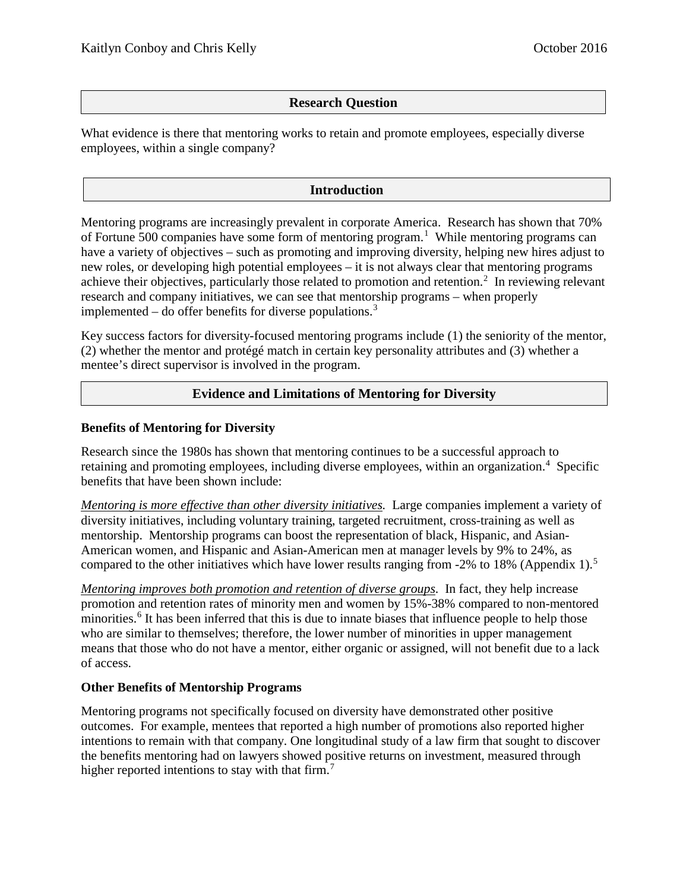## **Research Question**

What evidence is there that mentoring works to retain and promote employees, especially diverse employees, within a single company?

## **Introduction**

Mentoring programs are increasingly prevalent in corporate America. Research has shown that 70% of Fortune 500 companies have some form of mentoring program.<sup>[1](#page-5-0)</sup> While mentoring programs can have a variety of objectives – such as promoting and improving diversity, helping new hires adjust to new roles, or developing high potential employees – it is not always clear that mentoring programs achieve their objectives, particularly those related to promotion and retention.<sup>[2](#page-5-1)</sup> In reviewing relevant research and company initiatives, we can see that mentorship programs – when properly implemented – do offer benefits for diverse populations.<sup>[3](#page-5-2)</sup>

Key success factors for diversity-focused mentoring programs include (1) the seniority of the mentor, (2) whether the mentor and protégé match in certain key personality attributes and (3) whether a mentee's direct supervisor is involved in the program.

### **Evidence and Limitations of Mentoring for Diversity**

#### **Benefits of Mentoring for Diversity**

Research since the 1980s has shown that mentoring continues to be a successful approach to retaining and promoting employees, including diverse employees, within an organization.<sup>[4](#page-5-3)</sup> Specific benefits that have been shown include:

*Mentoring is more effective than other diversity initiatives.* Large companies implement a variety of diversity initiatives, including voluntary training, targeted recruitment, cross-training as well as mentorship. Mentorship programs can boost the representation of black, Hispanic, and Asian-American women, and Hispanic and Asian-American men at manager levels by 9% to 24%, as compared to the other initiatives which have lower results ranging from -2% to 18% (Appendix 1).<sup>[5](#page-5-4)</sup>

*Mentoring improves both promotion and retention of diverse groups*. In fact, they help increase promotion and retention rates of minority men and women by 15%-38% compared to non-mentored minorities.<sup>[6](#page-5-5)</sup> It has been inferred that this is due to innate biases that influence people to help those who are similar to themselves; therefore, the lower number of minorities in upper management means that those who do not have a mentor, either organic or assigned, will not benefit due to a lack of access.

#### **Other Benefits of Mentorship Programs**

Mentoring programs not specifically focused on diversity have demonstrated other positive outcomes. For example, mentees that reported a high number of promotions also reported higher intentions to remain with that company. One longitudinal study of a law firm that sought to discover the benefits mentoring had on lawyers showed positive returns on investment, measured through higher reported intentions to stay with that firm.<sup>[7](#page-5-6)</sup>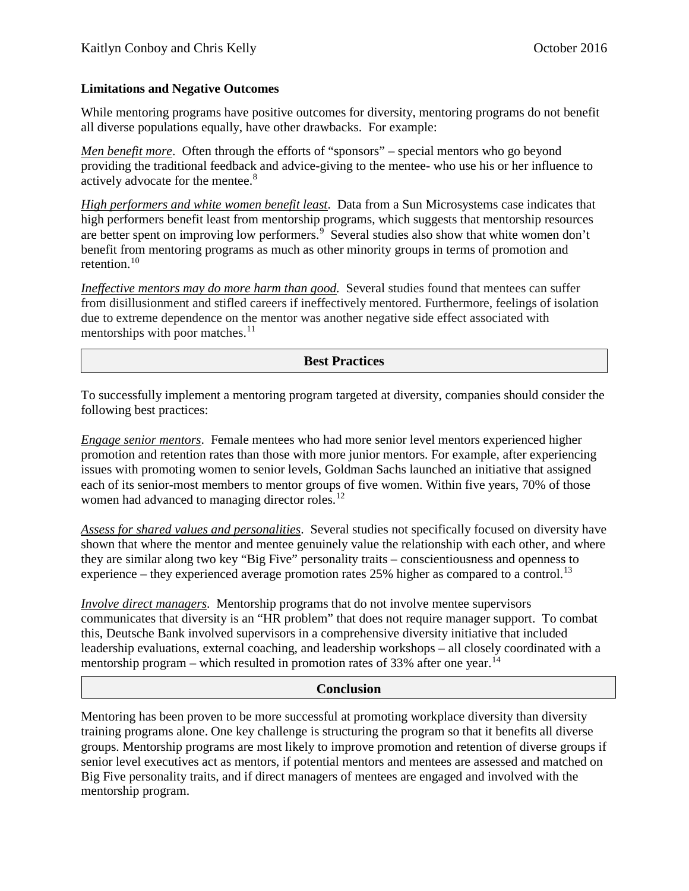#### **Limitations and Negative Outcomes**

While mentoring programs have positive outcomes for diversity, mentoring programs do not benefit all diverse populations equally, have other drawbacks. For example:

*Men benefit more.* Often through the efforts of "sponsors" – special mentors who go beyond providing the traditional feedback and advice-giving to the mentee- who use his or her influence to actively advocate for the mentee.<sup>[8](#page-6-0)</sup>

*High performers and white women benefit least*. Data from a Sun Microsystems case indicates that high performers benefit least from mentorship programs, which suggests that mentorship resources are better spent on improving low performers.<sup>[9](#page-6-1)</sup> Several studies also show that white women don't benefit from mentoring programs as much as other minority groups in terms of promotion and retention. [10](#page-6-2)

*Ineffective mentors may do more harm than good.* Several studies found that mentees can suffer from disillusionment and stifled careers if ineffectively mentored. Furthermore, feelings of isolation due to extreme dependence on the mentor was another negative side effect associated with mentorships with poor matches. $^{11}$  $^{11}$  $^{11}$ 

### **Best Practices**

To successfully implement a mentoring program targeted at diversity, companies should consider the following best practices:

*Engage senior mentors*. Female mentees who had more senior level mentors experienced higher promotion and retention rates than those with more junior mentors. For example, after experiencing issues with promoting women to senior levels, Goldman Sachs launched an initiative that assigned each of its senior-most members to mentor groups of five women. Within five years, 70% of those women had advanced to managing director roles.<sup>[12](#page-6-4)</sup>

*Assess for shared values and personalities*. Several studies not specifically focused on diversity have shown that where the mentor and mentee genuinely value the relationship with each other, and where they are similar along two key "Big Five" personality traits – conscientiousness and openness to experience – they experienced average promotion rates  $25\%$  higher as compared to a control.<sup>[13](#page-6-5)</sup>

*Involve direct managers*. Mentorship programs that do not involve mentee supervisors communicates that diversity is an "HR problem" that does not require manager support. To combat this, Deutsche Bank involved supervisors in a comprehensive diversity initiative that included leadership evaluations, external coaching, and leadership workshops – all closely coordinated with a mentorship program – which resulted in promotion rates of 33% after one year.<sup>[14](#page-6-6)</sup>

#### **Conclusion**

Mentoring has been proven to be more successful at promoting workplace diversity than diversity training programs alone. One key challenge is structuring the program so that it benefits all diverse groups. Mentorship programs are most likely to improve promotion and retention of diverse groups if senior level executives act as mentors, if potential mentors and mentees are assessed and matched on Big Five personality traits, and if direct managers of mentees are engaged and involved with the mentorship program.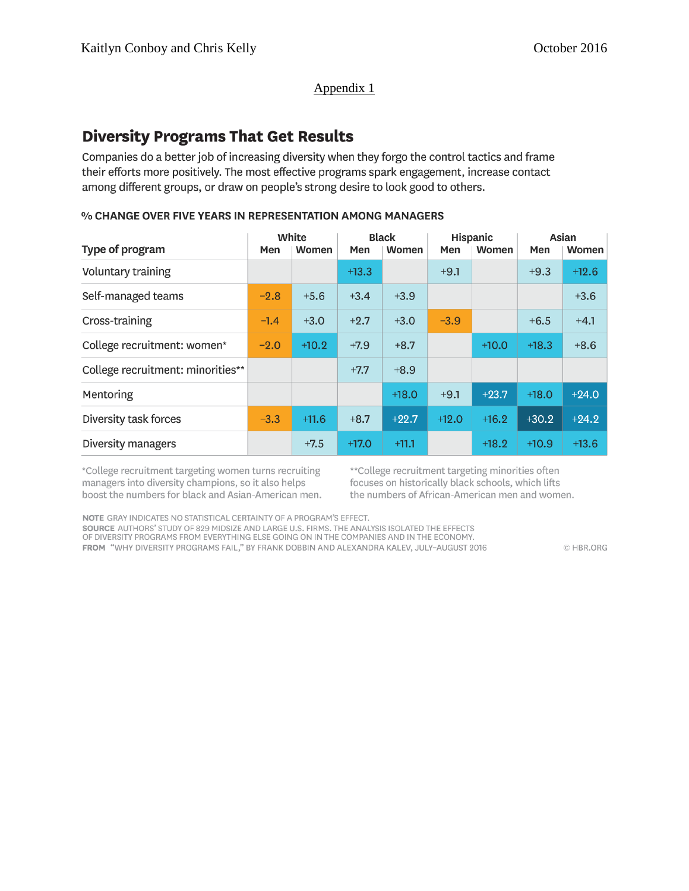#### Appendix 1

# **Diversity Programs That Get Results**

Companies do a better job of increasing diversity when they forgo the control tactics and frame their efforts more positively. The most effective programs spark engagement, increase contact among different groups, or draw on people's strong desire to look good to others.

#### % CHANGE OVER FIVE YEARS IN REPRESENTATION AMONG MANAGERS

|                                   | White  |         | <b>Black</b> |         | Hispanic |              | Asian   |         |
|-----------------------------------|--------|---------|--------------|---------|----------|--------------|---------|---------|
| Type of program                   | Men    | Women   | Men          | Women   | Men      | <b>Women</b> | Men     | Women   |
| Voluntary training                |        |         | $+13.3$      |         | $+9.1$   |              | $+9.3$  | $+12.6$ |
| Self-managed teams                | $-2.8$ | $+5.6$  | $+3.4$       | $+3.9$  |          |              |         | $+3.6$  |
| Cross-training                    | $-1.4$ | $+3.0$  | $+2.7$       | $+3.0$  | $-3.9$   |              | $+6.5$  | $+4.1$  |
| College recruitment: women*       | $-2.0$ | $+10.2$ | $+7.9$       | $+8.7$  |          | $+10.0$      | $+18.3$ | $+8.6$  |
| College recruitment: minorities** |        |         | $+7.7$       | $+8.9$  |          |              |         |         |
| Mentoring                         |        |         |              | $+18.0$ | $+9.1$   | $+23.7$      | $+18.0$ | $+24.0$ |
| Diversity task forces             | $-3.3$ | $+11.6$ | $+8.7$       | $+22.7$ | $+12.0$  | $+16.2$      | $+30.2$ | $+24.2$ |
| Diversity managers                |        | $+7.5$  | $+17.0$      | $+11.1$ |          | $+18.2$      | $+10.9$ | $+13.6$ |

\*College recruitment targeting women turns recruiting managers into diversity champions, so it also helps boost the numbers for black and Asian-American men. \*\* College recruitment targeting minorities often focuses on historically black schools, which lifts the numbers of African-American men and women.

NOTE GRAY INDICATES NO STATISTICAL CERTAINTY OF A PROGRAM'S EFFECT.

SOURCE AUTHORS' STUDY OF 829 MIDSIZE AND LARGE U.S. FIRMS. THE ANALYSIS ISOLATED THE EFFECTS OF DIVERSITY PROGRAMS FROM EVERYTHING ELSE GOING ON IN THE COMPANIES AND IN THE ECONOMY.

FROM "WHY DIVERSITY PROGRAMS FAIL," BY FRANK DOBBIN AND ALEXANDRA KALEV, JULY-AUGUST 2016

C HBR.ORG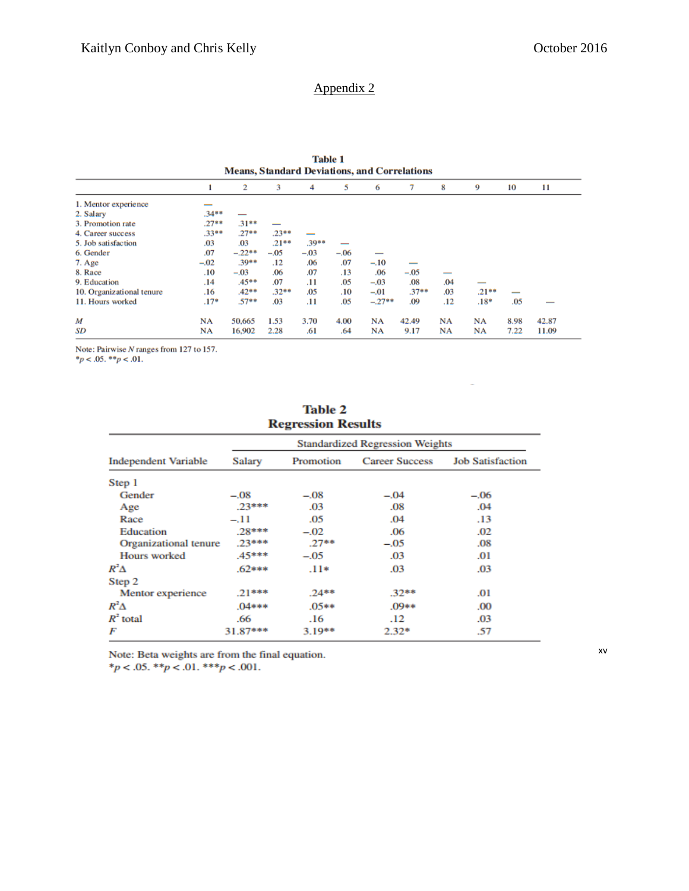# Appendix 2

| <b>Table 1</b><br><b>Means, Standard Deviations, and Correlations</b> |           |          |         |         |        |           |                          |           |          |      |       |
|-----------------------------------------------------------------------|-----------|----------|---------|---------|--------|-----------|--------------------------|-----------|----------|------|-------|
|                                                                       |           | 2        | 3       | 4       | 5      | 6         | 7                        | 8         | 9        | 10   | 11    |
| 1. Mentor experience                                                  | --        |          |         |         |        |           |                          |           |          |      |       |
| 2. Salary                                                             | $.34**$   |          |         |         |        |           |                          |           |          |      |       |
| 3. Promotion rate                                                     | $.27**$   | $.31**$  |         |         |        |           |                          |           |          |      |       |
| 4. Career success                                                     | $.33**$   | $.27**$  | $.23**$ |         |        |           |                          |           |          |      |       |
| 5. Job satisfaction                                                   | .03       | .03      | $.21**$ | $.39**$ | –      |           |                          |           |          |      |       |
| 6. Gender                                                             | .07       | $-.22**$ | $-.05$  | $-.03$  | $-.06$ |           |                          |           |          |      |       |
| 7. Age                                                                | $-.02$    | $.39**$  | .12     | .06     | .07    | $-.10$    | $\overline{\phantom{a}}$ |           |          |      |       |
| 8. Race                                                               | .10       | $-.03$   | .06     | .07     | .13    | .06       | $-.05$                   |           |          |      |       |
| 9. Education                                                          | .14       | $.45**$  | .07     | .11     | .05    | $-.03$    | .08                      | .04       |          |      |       |
| 10. Organizational tenure                                             | .16       | $.42**$  | $.32**$ | .05     | .10    | $-.01$    | .37                      | .03       | $.21***$ |      |       |
| 11. Hours worked                                                      | $.17*$    | $.57**$  | .03     | .11     | .05    | $-.27$ ** | .09                      | .12       | $.18*$   | .05  |       |
| М                                                                     | <b>NA</b> | 50,665   | 1.53    | 3.70    | 4.00   | <b>NA</b> | 42.49                    | <b>NA</b> | NA       | 8.98 | 42.87 |
| SD                                                                    | NA        | 16,902   | 2.28    | .61     | .64    | NA        | 9.17                     | NA        | NA       | 7.22 | 11.09 |

Note: Pairwise N ranges from 127 to 157.<br>\* $p < .05$ . \*\* $p < .01$ .

| <b>Regression Results</b>   |                                        |           |                       |                         |  |  |  |  |  |
|-----------------------------|----------------------------------------|-----------|-----------------------|-------------------------|--|--|--|--|--|
|                             | <b>Standardized Regression Weights</b> |           |                       |                         |  |  |  |  |  |
| <b>Independent Variable</b> | <b>Salary</b>                          | Promotion | <b>Career Success</b> | <b>Job Satisfaction</b> |  |  |  |  |  |
| Step 1                      |                                        |           |                       |                         |  |  |  |  |  |
| Gender                      | $-.08$                                 | $-.08$    | $-.04$                | $-.06$                  |  |  |  |  |  |
| Age                         | $.23***$                               | .03       | .08                   | .04                     |  |  |  |  |  |
| Race                        | $-11$                                  | .05       | .04                   | .13                     |  |  |  |  |  |
| Education                   | $.28***$                               | $-.02$    | .06                   | .02                     |  |  |  |  |  |
| Organizational tenure       | $.23***$                               | $.27**$   | $-.05$                | .08                     |  |  |  |  |  |
| <b>Hours</b> worked         | .45***                                 | $-.05$    | .03                   | .01                     |  |  |  |  |  |
| $R^2\Delta$                 | 62***                                  | $.11*$    | .03                   | .03                     |  |  |  |  |  |
| Step 2                      |                                        |           |                       |                         |  |  |  |  |  |
| Mentor experience           | $.21***$                               | $.24**$   | $.32**$               | .01                     |  |  |  |  |  |
| $R^2\Delta$                 | $.04***$                               | $.05**$   | .09**                 | .00                     |  |  |  |  |  |
| $R^2$ total                 | .66                                    | .16       | .12                   | .03                     |  |  |  |  |  |
| F                           | 31.87***                               | $3.19**$  | $2.32*$               | .57                     |  |  |  |  |  |

Table 2

Note: Beta weights are from the final equation.

 $*_{p}$  < .05.  $*_{p}$  < .01.  $*_{p}$  < .001.

[xv](#page-6-7)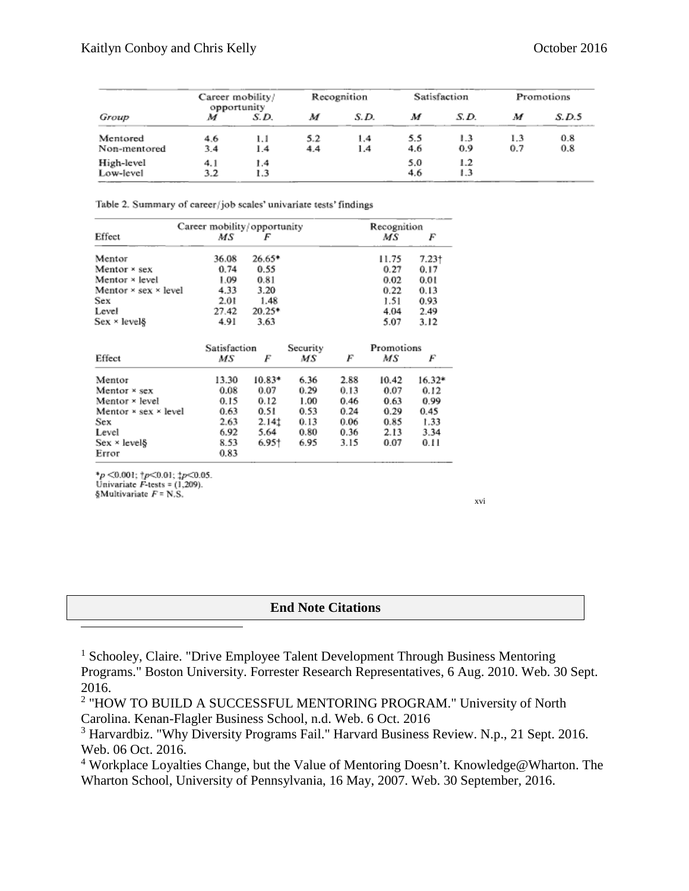|              | Career mobility/<br>opportunity |      | Recognition |      | Satisfaction |      | Promotions |       |
|--------------|---------------------------------|------|-------------|------|--------------|------|------------|-------|
| Group        |                                 | S.D. | м           | S.D. | м            | S.D. | М          | S.D.5 |
| Mentored     | 4.6                             | 1.1  | 5.2         | 1.4  | 5.5          | 1.3  | 1.3        | 0.8   |
| Non-mentored | 3.4                             | 1.4  | 4.4         | 1.4  | 4.6          | 0.9  | 0.7        | 0.8   |
| High-level   | 4. l                            | 1.4  |             |      | 5.0          | 1.2  |            |       |
| Low-level    | 3.2                             | 1.3  |             |      | 4.6          | 1.3  |            |       |

Table 2. Summary of career/job scales' univariate tests' findings

|                                    | Career mobility/opportunity |          |          |            | Recognition |        |  |
|------------------------------------|-----------------------------|----------|----------|------------|-------------|--------|--|
| Effect                             | ΜS                          | F        |          |            | МS          | F      |  |
| Mentor                             | 36.08                       | 26.65*   |          |            | 11.75       | 7.23†  |  |
| Mentor × sex                       | 0.74                        | 0.55     |          |            | 0.27        | 0.17   |  |
| Mentor × level                     | 1.09                        | 0.81     |          |            | 0.02        | 0.01   |  |
| Mentor $\times$ sex $\times$ level | 4.33                        | 3.20     |          |            | 0.22        | 0.13   |  |
| Sex                                | 2.01                        | 1.48     |          |            | 1.51        | 0.93   |  |
| Level                              | 27.42                       | 20.25*   |          |            | 4.04        | 2.49   |  |
| $Sex \times level$                 | 4.91                        | 3.63     |          |            | 5.07        | 3.12   |  |
|                                    | Satisfaction                |          | Security | Promotions |             |        |  |
| Effect                             | МS                          | F        | МS       | F          | МS          | F      |  |
| Mentor                             | 13.30                       | $10.83*$ | 6.36     | 2.88       | 10.42       | 16.32* |  |
| Mentor × sex                       | 0.08                        | 0.07     | 0.29     | 0.13       | 0.07        | 0.12   |  |
| Mentor × level                     | 0.15                        | 0.12     | 1.00     | 0.46       | 0.63        | 0.99   |  |
| Mentor $\times$ sex $\times$ level | 0.63                        | 0.51     | 0.53     | 0.24       | 0.29        | 0.45   |  |
| <b>Sex</b>                         | 2.63                        | 2.14‡    | 0.13     | 0.06       | 0.85        | 1.33   |  |
| Level                              | 6.92                        | 5.64     | 0.80     | 0.36       | 2.13        | 3.34   |  |
| Sex × level                        | 8.53                        | 6.95†    | 6.95     | 3.15       | 0.07        | 0.11   |  |
| Error                              | 0.83                        |          |          |            |             |        |  |

\* $p$  <0.001;  $\uparrow p$  <0.01;  $\uparrow p$  <0.05.<br>Univariate F-tests = (1,209). §Multivariate  $F = N.S.$ 

[xvi](#page-6-8)

#### **End Note Citations**

<sup>1</sup> Schooley, Claire. "Drive Employee Talent Development Through Business Mentoring Programs." Boston University. Forrester Research Representatives, 6 Aug. 2010. Web. 30 Sept. 2016.

<sup>2</sup> "HOW TO BUILD A SUCCESSFUL MENTORING PROGRAM." University of North Carolina. Kenan-Flagler Business School, n.d. Web. 6 Oct. 2016

<sup>3</sup> Harvardbiz. "Why Diversity Programs Fail." Harvard Business Review. N.p., 21 Sept. 2016. Web. 06 Oct. 2016.

<sup>4</sup> Workplace Loyalties Change, but the Value of Mentoring Doesn't. Knowledge@Wharton. The Wharton School, University of Pennsylvania, 16 May, 2007. Web. 30 September, 2016.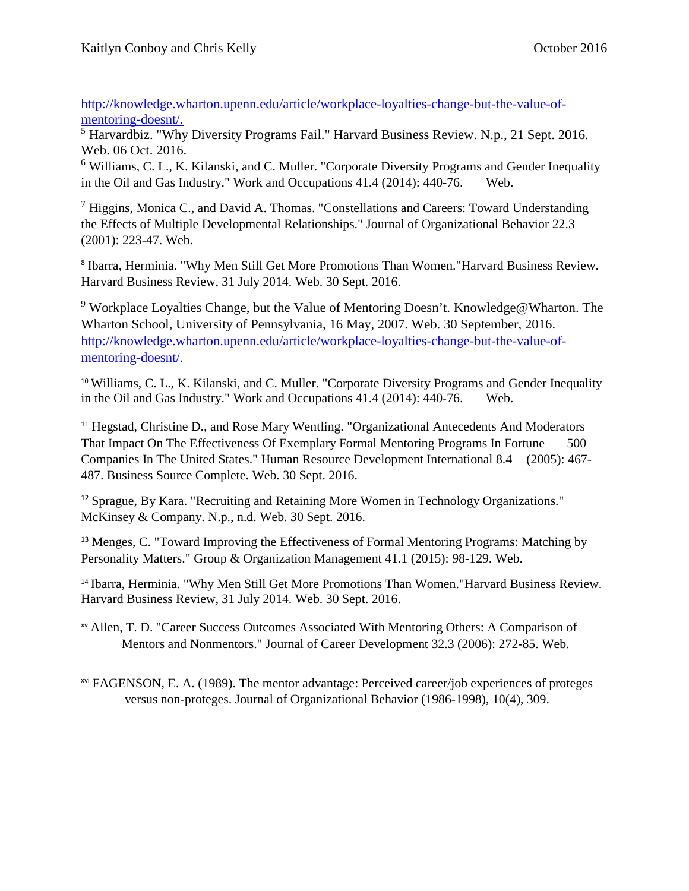[http://knowledge.wharton.upenn.edu/article/workplace-loyalties-change-but-the-value-of](http://knowledge.wharton.upenn.edu/article/workplace-loyalties-change-but-the-value-of-mentoring-doesnt/)[mentoring-doesnt/.](http://knowledge.wharton.upenn.edu/article/workplace-loyalties-change-but-the-value-of-mentoring-doesnt/)

<span id="page-5-4"></span><sup>5</sup> Harvardbiz. "Why Diversity Programs Fail." Harvard Business Review. N.p., 21 Sept. 2016. Web. 06 Oct. 2016.

<span id="page-5-5"></span><sup>6</sup> Williams, C. L., K. Kilanski, and C. Muller. "Corporate Diversity Programs and Gender Inequality in the Oil and Gas Industry." Work and Occupations 41.4 (2014): 440-76. Web.

<span id="page-5-6"></span> $<sup>7</sup>$  Higgins, Monica C., and David A. Thomas. "Constellations and Careers: Toward Understanding</sup> the Effects of Multiple Developmental Relationships." Journal of Organizational Behavior 22.3 (2001): 223-47. Web.

<sup>8</sup> Ibarra, Herminia. "Why Men Still Get More Promotions Than Women."Harvard Business Review. Harvard Business Review, 31 July 2014. Web. 30 Sept. 2016.

<sup>9</sup> Workplace Loyalties Change, but the Value of Mentoring Doesn't. Knowledge@Wharton. The Wharton School, University of Pennsylvania, 16 May, 2007. Web. 30 September, 2016. [http://knowledge.wharton.upenn.edu/article/workplace-loyalties-change-but-the-value-of](http://knowledge.wharton.upenn.edu/article/workplace-loyalties-change-but-the-value-of-mentoring-doesnt/)[mentoring-doesnt/.](http://knowledge.wharton.upenn.edu/article/workplace-loyalties-change-but-the-value-of-mentoring-doesnt/)

<sup>10</sup> Williams, C. L., K. Kilanski, and C. Muller. "Corporate Diversity Programs and Gender Inequality in the Oil and Gas Industry." Work and Occupations 41.4 (2014): 440-76. Web.

<sup>11</sup> Hegstad, Christine D., and Rose Mary Wentling. "Organizational Antecedents And Moderators" That Impact On The Effectiveness Of Exemplary Formal Mentoring Programs In Fortune 500 Companies In The United States." Human Resource Development International 8.4 (2005): 467- 487. Business Source Complete. Web. 30 Sept. 2016.

<sup>12</sup> Sprague, By Kara. "Recruiting and Retaining More Women in Technology Organizations." McKinsey & Company. N.p., n.d. Web. 30 Sept. 2016.

<sup>13</sup> Menges, C. "Toward Improving the Effectiveness of Formal Mentoring Programs: Matching by Personality Matters." Group & Organization Management 41.1 (2015): 98-129. Web.

<sup>14</sup> Ibarra, Herminia. "Why Men Still Get More Promotions Than Women."Harvard Business Review. Harvard Business Review, 31 July 2014. Web. 30 Sept. 2016.

xv Allen, T. D. "Career Success Outcomes Associated With Mentoring Others: A Comparison of Mentors and Nonmentors." Journal of Career Development 32.3 (2006): 272-85. Web.

<span id="page-5-3"></span><span id="page-5-2"></span><span id="page-5-1"></span><span id="page-5-0"></span>xvi FAGENSON, E. A. (1989). The mentor advantage: Perceived career/job experiences of proteges versus non-proteges. Journal of Organizational Behavior (1986-1998), 10(4), 309.